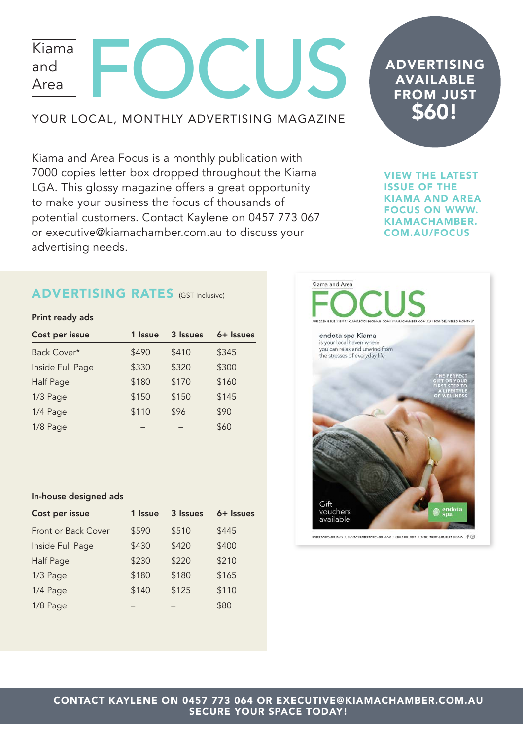# **DCLIS** Kiama and Area

### YOUR LOCAL, MONTHLY ADVERTISING MAGAZINE

Kiama and Area Focus is a monthly publication with 7000 copies letter box dropped throughout the Kiama LGA. This glossy magazine offers a great opportunity to make your business the focus of thousands of potential customers. Contact Kaylene on 0457 773 067 or executive@kiamachamber.com.au to discuss your advertising needs.

## ADVERTISING AVAILABLE FROM JUST \$60!

VIEW THE LATEST ISSUE OF THE KIAMA AND AREA FOCUS ON WWW. KIAMACHAMBER. COM.AU/FOCUS

### ADVERTISING RATES (GST Inclusive)

#### Print ready ads

| Cost per issue   | 1 Issue | 3 Issues | 6+ Issues |
|------------------|---------|----------|-----------|
| Back Cover*      | \$490   | \$410    | \$345     |
| Inside Full Page | \$330   | \$320    | \$300     |
| <b>Half Page</b> | \$180   | \$170    | \$160     |
| 1/3 Page         | \$150   | \$150    | \$145     |
| 1/4 Page         | \$110   | \$96     | \$90      |
| 1/8 Page         |         |          | \$60      |

#### In-house designed ads

| Cost per issue      | 1 Issue | 3 Issues | 6+ Issues |
|---------------------|---------|----------|-----------|
| Front or Back Cover | \$590   | \$510    | \$445     |
| Inside Full Page    | \$430   | \$420    | \$400     |
| Half Page           | \$230   | \$220    | \$210     |
| 1/3 Page            | \$180   | \$180    | \$165     |
| 1/4 Page            | \$140   | \$125    | \$110     |
| 1/8 Page            |         |          | \$80      |